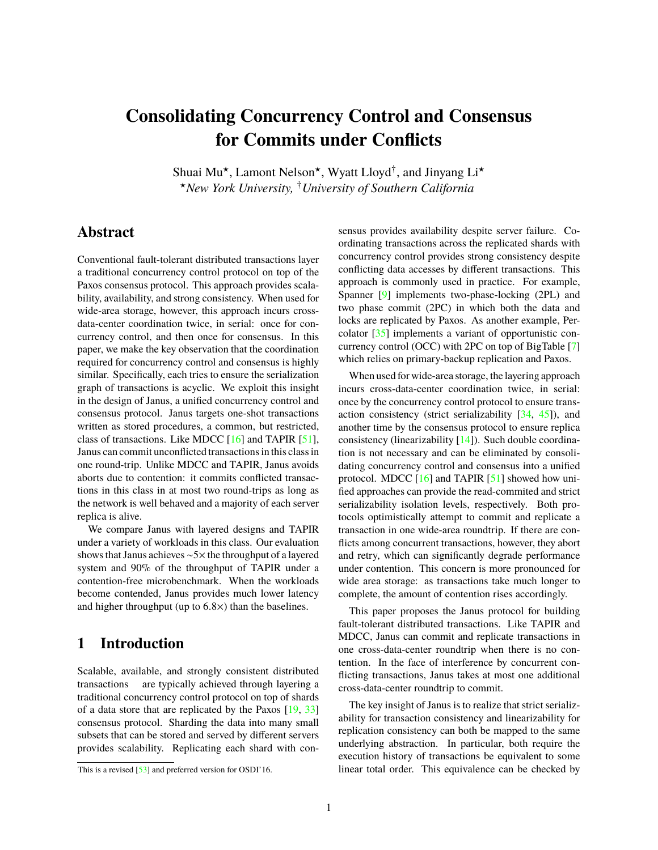# <span id="page-0-1"></span>**Consolidating Concurrency Control and Consensus for Commits under Conflicts**

Shuai Mu<sup>\*</sup>, Lamont Nelson<sup>\*</sup>, Wyatt Lloyd<sup>†</sup>, and Jinyang Li<sup>\*</sup> ?*New York University,* †*University of Southern California*

# **Abstract**

Conventional fault-tolerant distributed transactions layer a traditional concurrency control protocol on top of the Paxos consensus protocol. This approach provides scalability, availability, and strong consistency. When used for wide-area storage, however, this approach incurs crossdata-center coordination twice, in serial: once for concurrency control, and then once for consensus. In this paper, we make the key observation that the coordination required for concurrency control and consensus is highly similar. Specifically, each tries to ensure the serialization graph of transactions is acyclic. We exploit this insight in the design of Janus, a unified concurrency control and consensus protocol. Janus targets one-shot transactions written as stored procedures, a common, but restricted, class of transactions. Like MDCC [\[16\]](#page-14-0) and TAPIR [\[51\]](#page-15-0), Janus can commit unconflicted transactions in this class in one round-trip. Unlike MDCC and TAPIR, Janus avoids aborts due to contention: it commits conflicted transactions in this class in at most two round-trips as long as the network is well behaved and a majority of each server replica is alive.

We compare Janus with layered designs and TAPIR under a variety of workloads in this class. Our evaluation shows that Janus achieves ∼5× the throughput of a layered system and 90% of the throughput of TAPIR under a contention-free microbenchmark. When the workloads become contended, Janus provides much lower latency and higher throughput (up to <sup>6</sup>.8×) than the baselines.

# **1 Introduction**

Scalable, available, and strongly consistent distributed transactions are typically achieved through layering a traditional co[n](#page-0-0)currency control protocol on top of shards of a data store that are replicated by the Paxos [\[19,](#page-14-1) [33\]](#page-14-2) consensus protocol. Sharding the data into many small subsets that can be stored and served by different servers provides scalability. Replicating each shard with consensus provides availability despite server failure. Coordinating transactions across the replicated shards with concurrency control provides strong consistency despite conflicting data accesses by different transactions. This approach is commonly used in practice. For example, Spanner [\[9\]](#page-13-0) implements two-phase-locking (2PL) and two phase commit (2PC) in which both the data and locks are replicated by Paxos. As another example, Percolator [\[35\]](#page-14-3) implements a variant of opportunistic concurrency control (OCC) with 2PC on top of BigTable [\[7\]](#page-13-1) which relies on primary-backup replication and Paxos.

When used for wide-area storage, the layering approach incurs cross-data-center coordination twice, in serial: once by the concurrency control protocol to ensure transaction consistency (strict serializability  $[34, 45]$  $[34, 45]$  $[34, 45]$ ), and another time by the consensus protocol to ensure replica consistency (linearizability [\[14\]](#page-13-2)). Such double coordination is not necessary and can be eliminated by consolidating concurrency control and consensus into a unified protocol. MDCC  $[16]$  and TAPIR  $[51]$  showed how unified approaches can provide the read-commited and strict serializability isolation levels, respectively. Both protocols optimistically attempt to commit and replicate a transaction in one wide-area roundtrip. If there are conflicts among concurrent transactions, however, they abort and retry, which can significantly degrade performance under contention. This concern is more pronounced for wide area storage: as transactions take much longer to complete, the amount of contention rises accordingly.

This paper proposes the Janus protocol for building fault-tolerant distributed transactions. Like TAPIR and MDCC, Janus can commit and replicate transactions in one cross-data-center roundtrip when there is no contention. In the face of interference by concurrent conflicting transactions, Janus takes at most one additional cross-data-center roundtrip to commit.

The key insight of Janus is to realize that strict serializability for transaction consistency and linearizability for replication consistency can both be mapped to the same underlying abstraction. In particular, both require the execution history of transactions be equivalent to some linear total order. This equivalence can be checked by

<span id="page-0-0"></span>This is a revised [\[53\]](#page-15-1) and preferred version for OSDI'16.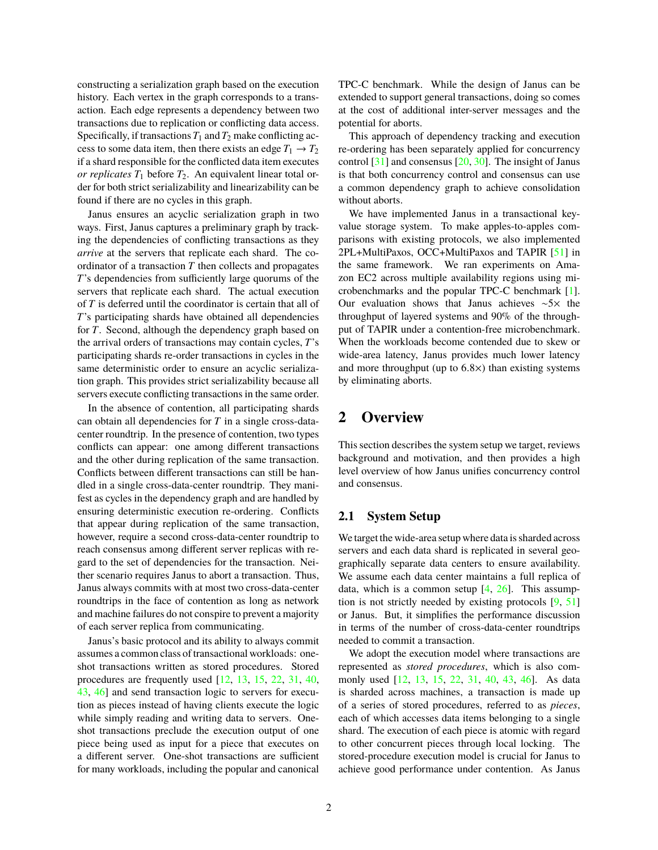constructing a serialization graph based on the execution history. Each vertex in the graph corresponds to a transaction. Each edge represents a dependency between two transactions due to replication or conflicting data access. Specifically, if transactions  $T_1$  and  $T_2$  make conflicting access to some data item, then there exists an edge  $T_1 \rightarrow T_2$ if a shard responsible for the conflicted data item executes *or replicates*  $T_1$  before  $T_2$ . An equivalent linear total order for both strict serializability and linearizability can be found if there are no cycles in this graph.

Janus ensures an acyclic serialization graph in two ways. First, Janus captures a preliminary graph by tracking the dependencies of conflicting transactions as they *arrive* at the servers that replicate each shard. The coordinator of a transaction *T* then collects and propagates *T*'s dependencies from sufficiently large quorums of the servers that replicate each shard. The actual execution of *T* is deferred until the coordinator is certain that all of *T*'s participating shards have obtained all dependencies for *T*. Second, although the dependency graph based on the arrival orders of transactions may contain cycles, *T*'s participating shards re-order transactions in cycles in the same deterministic order to ensure an acyclic serialization graph. This provides strict serializability because all servers execute conflicting transactions in the same order.

In the absence of contention, all participating shards can obtain all dependencies for *T* in a single cross-datacenter roundtrip. In the presence of contention, two types conflicts can appear: one among different transactions and the other during replication of the same transaction. Conflicts between different transactions can still be handled in a single cross-data-center roundtrip. They manifest as cycles in the dependency graph and are handled by ensuring deterministic execution re-ordering. Conflicts that appear during replication of the same transaction, however, require a second cross-data-center roundtrip to reach consensus among different server replicas with regard to the set of dependencies for the transaction. Neither scenario requires Janus to abort a transaction. Thus, Janus always commits with at most two cross-data-center roundtrips in the face of contention as long as network and machine failures do not conspire to prevent a majority of each server replica from communicating.

Janus's basic protocol and its ability to always commit assumes a common class of transactional workloads: oneshot transactions written as stored procedures. Stored procedures are frequently used [\[12,](#page-13-3) [13,](#page-13-4) [15,](#page-13-5) [22,](#page-14-6) [31,](#page-14-7) [40,](#page-14-8) [43,](#page-14-9) [46\]](#page-15-2) and send transaction logic to servers for execution as pieces instead of having clients execute the logic while simply reading and writing data to servers. Oneshot transactions preclude the execution output of one piece being used as input for a piece that executes on a different server. One-shot transactions are sufficient for many workloads, including the popular and canonical TPC-C benchmark. While the design of Janus can be extended to support general transactions, doing so comes at the cost of additional inter-server messages and the potential for aborts.

This approach of dependency tracking and execution re-ordering has been separately applied for concurrency control [\[31\]](#page-14-7) and consensus [\[20,](#page-14-10) [30\]](#page-14-11). The insight of Janus is that both concurrency control and consensus can use a common dependency graph to achieve consolidation without aborts.

We have implemented Janus in a transactional keyvalue storage system. To make apples-to-apples comparisons with existing protocols, we also implemented 2PL+MultiPaxos, OCC+MultiPaxos and TAPIR [\[51\]](#page-15-0) in the same framework. We ran experiments on Amazon EC2 across multiple availability regions using microbenchmarks and the popular TPC-C benchmark [\[1\]](#page-13-6). Our evaluation shows that Janus achieves ∼5× the throughput of layered systems and 90% of the throughput of TAPIR under a contention-free microbenchmark. When the workloads become contended due to skew or wide-area latency, Janus provides much lower latency and more throughput (up to <sup>6</sup>.8×) than existing systems by eliminating aborts.

# <span id="page-1-0"></span>**2 Overview**

This section describes the system setup we target, reviews background and motivation, and then provides a high level overview of how Janus unifies concurrency control and consensus.

#### **2.1 System Setup**

We target the wide-area setup where data is sharded across servers and each data shard is replicated in several geographically separate data centers to ensure availability. We assume each data center maintains a full replica of data, which is a common setup  $[4, 26]$  $[4, 26]$  $[4, 26]$ . This assumption is not strictly needed by existing protocols [\[9,](#page-13-0) [51\]](#page-15-0) or Janus. But, it simplifies the performance discussion in terms of the number of cross-data-center roundtrips needed to commit a transaction.

We adopt the execution model where transactions are represented as *stored procedures*, which is also commonly used [\[12,](#page-13-3) [13,](#page-13-4) [15,](#page-13-5) [22,](#page-14-6) [31,](#page-14-7) [40,](#page-14-8) [43,](#page-14-9) [46\]](#page-15-2). As data is sharded across machines, a transaction is made up of a series of stored procedures, referred to as *pieces*, each of which accesses data items belonging to a single shard. The execution of each piece is atomic with regard to other concurrent pieces through local locking. The stored-procedure execution model is crucial for Janus to achieve good performance under contention. As Janus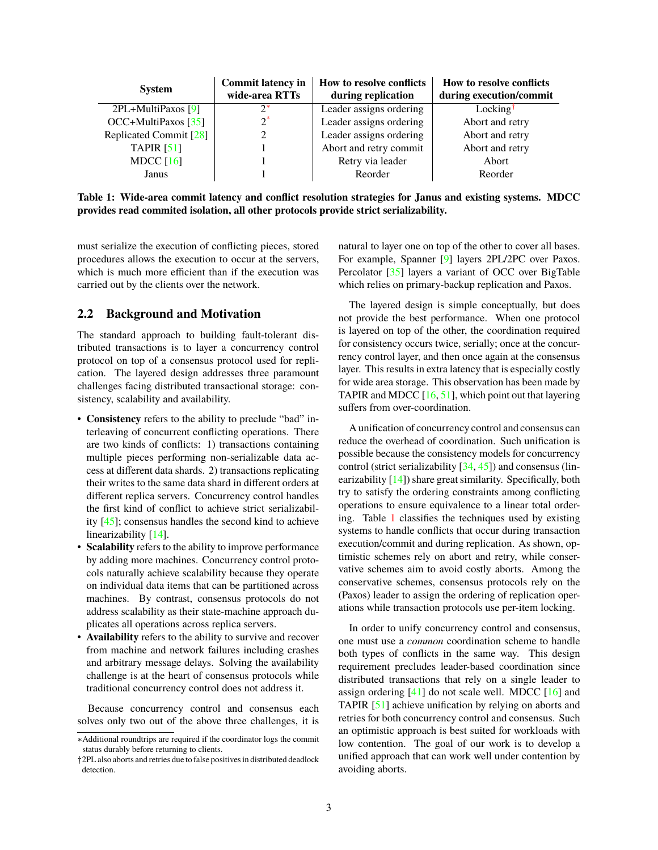<span id="page-2-1"></span>

| <b>System</b>          | <b>Commit latency in</b><br>wide-area RTTs | <b>How to resolve conflicts</b><br>during replication | <b>How to resolve conflicts</b><br>during execution/commit |
|------------------------|--------------------------------------------|-------------------------------------------------------|------------------------------------------------------------|
| 2PL+MultiPaxos [9]     | $2^*$                                      | Leader assigns ordering                               | Locking <sup>†</sup>                                       |
| $OCC+MultiPaxos [35]$  | $\gamma^*$                                 | Leader assigns ordering                               | Abort and retry                                            |
| Replicated Commit [28] |                                            | Leader assigns ordering                               | Abort and retry                                            |
| TAPIR $[51]$           |                                            | Abort and retry commit                                | Abort and retry                                            |
| MDCC $[16]$            |                                            | Retry via leader                                      | Abort                                                      |
| Janus                  |                                            | Reorder                                               | Reorder                                                    |

**Table 1: Wide-area commit latency and conflict resolution strategies for Janus and existing systems. MDCC provides read commited isolation, all other protocols provide strict serializability.**

must serialize the execution of conflicting pieces, stored procedures allows the execution to occur at the servers, which is much more efficient than if the execution was carried out by the clients over the network.

#### **2.2 Background and Motivation**

The standard approach to building fault-tolerant distributed transactions is to layer a concurrency control protocol on top of a consensus protocol used for replication. The layered design addresses three paramount challenges facing distributed transactional storage: consistency, scalability and availability.

- **Consistency** refers to the ability to preclude "bad" interleaving of concurrent conflicting operations. There are two kinds of conflicts: 1) transactions containing multiple pieces performing non-serializable data access at different data shards. 2) transactions replicating their writes to the same data shard in different orders at different replica servers. Concurrency control handles the first kind of conflict to achieve strict serializability [\[45\]](#page-14-5); consensus handles the second kind to achieve linearizability [\[14\]](#page-13-2).
- Scalability refers to the ability to improve performance by adding more machines. Concurrency control protocols naturally achieve scalability because they operate on individual data items that can be partitioned across machines. By contrast, consensus protocols do not address scalability as their state-machine approach duplicates all operations across replica servers.
- **Availability** refers to the ability to survive and recover from machine and network failures including crashes and arbitrary message delays. Solving the availability challenge is at the heart of consensus protocols while traditional concurrency control does not address it.

Because concurrency control and consensus each solves only two out of the above three challenges, it is natural to layer one on top of the other to cover all bases. For example, Spanner [\[9\]](#page-13-0) layers 2PL/2PC over Paxos. Percolator [\[35\]](#page-14-3) layers a variant of OCC over BigTable which relies on primary-backup replication and Paxos.

The layered design is simple conceptually, but does not provide the best performance. When one protocol is layered on top of the other, the coordination required for consistency occurs twice, serially; once at the concurrency control layer, and then once again at the consensus layer. This results in extra latency that is especially costly for wide area storage. This observation has been made by TAPIR and MDCC  $[16, 51]$  $[16, 51]$  $[16, 51]$ , which point out that layering suffers from over-coordination.

A unification of concurrency control and consensus can reduce the overhead of coordination. Such unification is possible because the consistency models for concurrency control (strict serializability [\[34,](#page-14-4) [45\]](#page-14-5)) and consensus (linearizability [\[14\]](#page-13-2)) share great similarity. Specifically, both try to satisfy the ordering constraints among conflicting operations to ensure equivalence to a linear total ordering. Table [1](#page-2-1) classifies the techniques used by existing systems to handle conflicts that occur during transaction execution/commit and during replication. As shown, optimistic schemes rely on abort and retry, while conservative schemes aim to avoid costly aborts. Among the conservative schemes, consensus protocols rely on the (Paxos) leader to assign the ordering of replication operations while transaction protocols use per-item locking.

In order to unify concurrency control and consensus, one must use a *common* coordination scheme to handle both types of conflicts in the same way. This design requirement precludes leader-based coordination since distributed transactions that rely on a single leader to assign ordering  $[41]$  do not scale well. MDCC  $[16]$  and TAPIR [\[51\]](#page-15-0) achieve unification by relying on aborts and retries for both concurrency control and consensus. Such an optimistic approach is best suited for workloads with low contention. The goal of our work is to develop a unified approach that can work well under contention by avoiding aborts.

<span id="page-2-0"></span><sup>∗</sup>Additional roundtrips are required if the coordinator logs the commit status durably before returning to clients.

<sup>†</sup>2PL also aborts and retries due to false positives in distributed deadlock detection.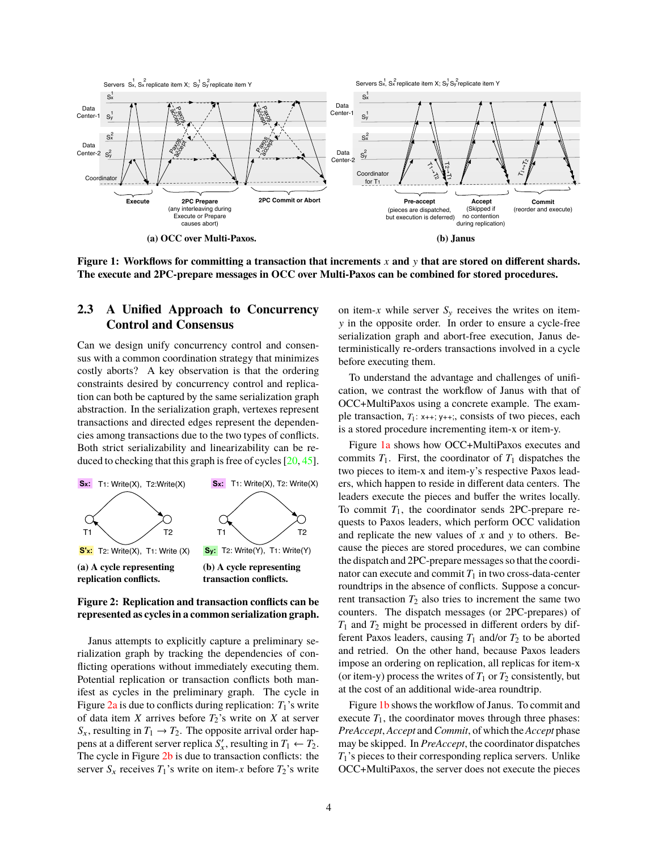<span id="page-3-1"></span>

**Figure 1: Workflows for committing a transaction that increments** *x* **and** y **that are stored on different shards. The execute and 2PC-prepare messages in OCC over Multi-Paxos can be combined for stored procedures.**

### **2.3 A Unified Approach to Concurrency Control and Consensus**

Can we design unify concurrency control and consensus with a common coordination strategy that minimizes costly aborts? A key observation is that the ordering constraints desired by concurrency control and replication can both be captured by the same serialization graph abstraction. In the serialization graph, vertexes represent transactions and directed edges represent the dependencies among transactions due to the two types of conflicts. Both strict serializability and linearizability can be reduced to checking that this graph is free of cycles [\[20,](#page-14-10) [45\]](#page-14-5).

<span id="page-3-0"></span>



Janus attempts to explicitly capture a preliminary serialization graph by tracking the dependencies of conflicting operations without immediately executing them. Potential replication or transaction conflicts both manifest as cycles in the preliminary graph. The cycle in Figure  $2a$  is due to conflicts during replication:  $T_1$ 's write of data item *X* arrives before  $T_2$ 's write on *X* at server  $S_x$ , resulting in  $T_1 \rightarrow T_2$ . The opposite arrival order happens at a different server replica  $S'_x$ , resulting in  $T_1 \leftarrow T_2$ . The cycle in Figure [2b](#page-3-0) is due to transaction conflicts: the server  $S_x$  receives  $T_1$ 's write on item-x before  $T_2$ 's write on item-x while server  $S_v$  receives the writes on itemy in the opposite order. In order to ensure a cycle-free serialization graph and abort-free execution, Janus deterministically re-orders transactions involved in a cycle before executing them.

To understand the advantage and challenges of unification, we contrast the workflow of Janus with that of OCC+MultiPaxos using a concrete example. The example transaction,  $T_1$ : x++; y++;, consists of two pieces, each is a stored procedure incrementing item-x or item-y.

Figure [1a](#page-3-1) shows how OCC+MultiPaxos executes and commits  $T_1$ . First, the coordinator of  $T_1$  dispatches the two pieces to item-x and item-y's respective Paxos leaders, which happen to reside in different data centers. The leaders execute the pieces and buffer the writes locally. To commit  $T_1$ , the coordinator sends 2PC-prepare requests to Paxos leaders, which perform OCC validation and replicate the new values of *x* and y to others. Because the pieces are stored procedures, we can combine the dispatch and 2PC-prepare messages so that the coordinator can execute and commit  $T_1$  in two cross-data-center roundtrips in the absence of conflicts. Suppose a concurrent transaction  $T_2$  also tries to increment the same two counters. The dispatch messages (or 2PC-prepares) of *T*<sup>1</sup> and *T*<sup>2</sup> might be processed in different orders by different Paxos leaders, causing  $T_1$  and/or  $T_2$  to be aborted and retried. On the other hand, because Paxos leaders impose an ordering on replication, all replicas for item-x (or item-y) process the writes of  $T_1$  or  $T_2$  consistently, but at the cost of an additional wide-area roundtrip.

Figure [1b](#page-3-1) shows the workflow of Janus. To commit and execute  $T_1$ , the coordinator moves through three phases: *PreAccept*, *Accept* and*Commit*, of which the*Accept* phase may be skipped. In *PreAccept*, the coordinator dispatches *T*1's pieces to their corresponding replica servers. Unlike OCC+MultiPaxos, the server does not execute the pieces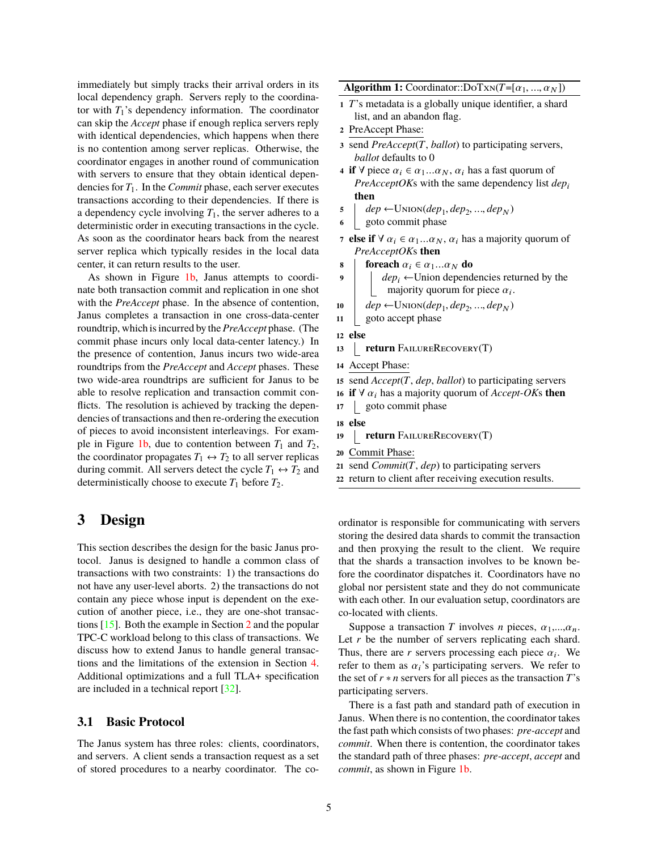immediately but simply tracks their arrival orders in its local dependency graph. Servers reply to the coordinator with  $T_1$ 's dependency information. The coordinator can skip the *Accept* phase if enough replica servers reply with identical dependencies, which happens when there is no contention among server replicas. Otherwise, the coordinator engages in another round of communication with servers to ensure that they obtain identical dependencies for *T*1. In the *Commit* phase, each server executes transactions according to their dependencies. If there is a dependency cycle involving  $T_1$ , the server adheres to a deterministic order in executing transactions in the cycle. As soon as the coordinator hears back from the nearest server replica which typically resides in the local data center, it can return results to the user.

As shown in Figure [1b,](#page-3-1) Janus attempts to coordinate both transaction commit and replication in one shot with the *PreAccept* phase. In the absence of contention, Janus completes a transaction in one cross-data-center roundtrip, which is incurred by the *PreAccept* phase. (The commit phase incurs only local data-center latency.) In the presence of contention, Janus incurs two wide-area roundtrips from the *PreAccept* and *Accept* phases. These two wide-area roundtrips are sufficient for Janus to be able to resolve replication and transaction commit conflicts. The resolution is achieved by tracking the dependencies of transactions and then re-ordering the execution of pieces to avoid inconsistent interleavings. For exam-ple in Figure [1b,](#page-3-1) due to contention between  $T_1$  and  $T_2$ , the coordinator propagates  $T_1 \leftrightarrow T_2$  to all server replicas during commit. All servers detect the cycle  $T_1 \leftrightarrow T_2$  and deterministically choose to execute  $T_1$  before  $T_2$ .

# <span id="page-4-5"></span>**3 Design**

This section describes the design for the basic Janus protocol. Janus is designed to handle a common class of transactions with two constraints: 1) the transactions do not have any user-level aborts. 2) the transactions do not contain any piece whose input is dependent on the execution of another piece, i.e., they are one-shot transactions [\[15\]](#page-13-5). Both the example in Section [2](#page-1-0) and the popular TPC-C workload belong to this class of transactions. We discuss how to extend Janus to handle general transactions and the limitations of the extension in Section [4.](#page-8-0) Additional optimizations and a full TLA+ specification are included in a technical report [\[32\]](#page-14-15).

#### **3.1 Basic Protocol**

The Janus system has three roles: clients, coordinators, and servers. A client sends a transaction request as a set of stored procedures to a nearby coordinator. The co**Algorithm 1:** Coordinator:: $DoTxN(T=[\alpha_1, ..., \alpha_N])$ 

- **<sup>1</sup>** *T*'s metadata is a globally unique identifier, a shard list, and an abandon flag.
- **<sup>2</sup>** PreAccept Phase:
- **<sup>3</sup>** send *PreAccept*(*T*, *ballot*) to participating servers, *ballot* defaults to 0
- <span id="page-4-1"></span>**4 if** ∀ piece  $\alpha_i \in \alpha_1...\alpha_N$ ,  $\alpha_i$  has a fast quorum of *PreAcceptOKs* with the same dependency list  $dep<sub>i</sub>$ **then**
- <span id="page-4-3"></span> $\mathcal{F}$  **dep**  $\leftarrow$  UNION(*dep*<sub>1</sub>, *dep*<sub>2</sub>, ..., *dep*<sub>N</sub>)
- **<sup>6</sup>** goto commit phase
- **7 else if**  $\forall \alpha_i \in \alpha_1...\alpha_N$ ,  $\alpha_i$  has a majority quorum of *PreAcceptOK*s **then**
- **8 foreach**  $\alpha_i \in \alpha_1...\alpha_N$  **do**<br>**9** *dep<sub>i</sub>* **← Union depend**
- $dep<sub>i</sub>$  ←Union dependencies returned by the majority quorum for piece  $\alpha_i$ .
- <span id="page-4-2"></span>**10**  $\begin{bmatrix} \text{dep} \leftarrow \text{UNION}(\text{dep}_1, \text{dep}_2, ..., \text{dep}_N) \\ \text{goto accept phase} \end{bmatrix}$
- **<sup>11</sup>** goto accept phase

**<sup>12</sup> else**

- 13 **return** FailureRecovery(T)
- **<sup>14</sup>** Accept Phase:
- <span id="page-4-4"></span>**<sup>15</sup>** send *Accept*(*T*, *dep*, *ballot*) to participating servers
- **16 if**  $\forall \alpha_i$  has a majority quorum of *Accept-OK*s **then**<br>**17**  $\parallel$  goto commit phase
	- **<sup>17</sup>** goto commit phase

```
18 else
```
- 19 **return** FailureRecovery(T)
- **<sup>20</sup>** Commit Phase:
- **<sup>21</sup>** send *Commit*(*T*, *dep*) to participating servers
- <span id="page-4-0"></span>**<sup>22</sup>** return to client after receiving execution results.

ordinator is responsible for communicating with servers storing the desired data shards to commit the transaction and then proxying the result to the client. We require that the shards a transaction involves to be known before the coordinator dispatches it. Coordinators have no global nor persistent state and they do not communicate with each other. In our evaluation setup, coordinators are co-located with clients.

Suppose a transaction *T* involves *n* pieces,  $\alpha_1, \ldots, \alpha_n$ . Let *r* be the number of servers replicating each shard. Thus, there are *r* servers processing each piece  $\alpha_i$ . We refer to them as  $\alpha_i$ 's participating servers. We refer to refer to them as  $\alpha_i$ 's participating servers. We refer to the set of  $r * n$  servers for all pieces as the transaction  $T$ 's participating servers.

There is a fast path and standard path of execution in Janus. When there is no contention, the coordinator takes the fast path which consists of two phases: *pre-accept* and *commit*. When there is contention, the coordinator takes the standard path of three phases: *pre-accept*, *accept* and *commit*, as shown in Figure 1**b**.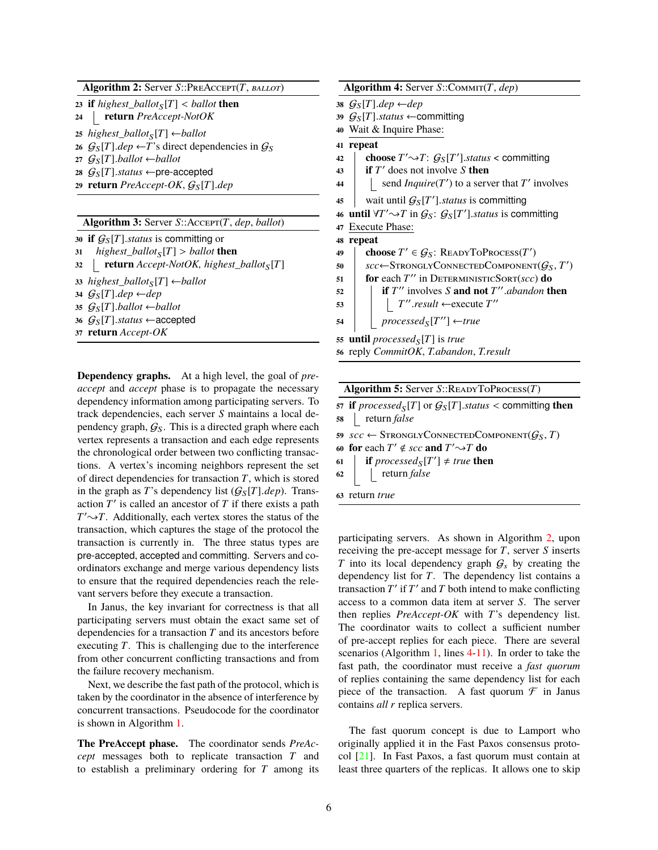**Algorithm 2:** Server *S*::PreAccept(*T*, *ballot*)

<span id="page-5-3"></span>

| 23 if highest_ballot <sub>S</sub> [T] < ballot then          |
|--------------------------------------------------------------|
| 24   return PreAccept-NotOK                                  |
| 25 highest_ballot <sub>S</sub> [T] $\leftarrow$ ballot       |
| 26 $G_S[T].dep \leftarrow T$ 's direct dependencies in $G_S$ |
| 27 $G_{S}[T]$ .ballot $\leftarrow$ ballot                    |
| 28 $G_S[T]$ .status $\leftarrow$ pre-accepted                |
| 29 return PreAccept-OK, $G_S[T]$ .dep                        |
|                                                              |

| Algorithm 3: Server $S$ :: Accepr(T, dep, ballot) |  |  |
|---------------------------------------------------|--|--|
|                                                   |  |  |

<span id="page-5-4"></span>

| 31 <i>highest_ballot<sub>S</sub></i> [ <i>T</i> ] > <i>ballot</i> <b>then</b> |  |
|-------------------------------------------------------------------------------|--|
|                                                                               |  |
| 32   <b>return</b> $Accept-NotOK$ , highest_ballot <sub>S</sub> [T]           |  |
| 33 highest_ballot <sub>S</sub> [T] $\leftarrow$ ballot                        |  |
| 34 $G_S[T].dep \leftarrow dep$                                                |  |
| 35 $G_{S}[T]$ .ballot $\leftarrow$ ballot                                     |  |
| 36 $G_S[T]$ .status $\leftarrow$ accepted                                     |  |
| 37 <b>return</b> Accept-OK                                                    |  |

<span id="page-5-2"></span>**Dependency graphs.** At a high level, the goal of *preaccept* and *accept* phase is to propagate the necessary dependency information among participating servers. To track dependencies, each server *S* maintains a local dependency graph,  $G_S$ . This is a directed graph where each vertex represents a transaction and each edge represents the chronological order between two conflicting transactions. A vertex's incoming neighbors represent the set of direct dependencies for transaction *T*, which is stored in the graph as *T*'s dependency list  $(G<sub>S</sub>[T].dep)$ . Transaction  $T'$  is called an ancestor of  $T$  if there exists a path  $T' \rightarrow T$ . Additionally, each vertex stores the status of the transaction, which captures the stage of the protocol the transaction is currently in. The three status types are pre-accepted, accepted and committing. Servers and coordinators exchange and merge various dependency lists to ensure that the required dependencies reach the relevant servers before they execute a transaction.

In Janus, the key invariant for correctness is that all participating servers must obtain the exact same set of dependencies for a transaction *T* and its ancestors before executing *T*. This is challenging due to the interference from other concurrent conflicting transactions and from the failure recovery mechanism.

Next, we describe the fast path of the protocol, which is taken by the coordinator in the absence of interference by concurrent transactions. Pseudocode for the coordinator is shown in Algorithm [1.](#page-4-0)

**The PreAccept phase.** The coordinator sends *PreAccept* messages both to replicate transaction *T* and to establish a preliminary ordering for *T* among its

<span id="page-5-0"></span>

|    | Algorithm 4: Server $S::Comm(T,dep)$                                                              |
|----|---------------------------------------------------------------------------------------------------|
|    | 38 $G_S[T].dep \leftarrow dep$                                                                    |
|    | 39 $G_S[T]$ .status $\leftarrow$ committing                                                       |
|    | 40 Wait & Inquire Phase:                                                                          |
| 41 | repeat                                                                                            |
| 42 | <b>choose</b> $T' \rightarrow T$ : $G_S[T']$ status < committing                                  |
| 43 | <b>if</b> $T'$ does not involve S <b>then</b>                                                     |
| 44 | send <i>Inquire</i> ( $T'$ ) to a server that $T'$ involves                                       |
| 45 | wait until $G_S[T']$ . status is committing                                                       |
|    | 46 until $\forall T' \rightarrow T$ in $\mathcal{G}_S$ : $\mathcal{G}_S[T']$ status is committing |
| 47 | <b>Execute Phase:</b>                                                                             |
| 48 | repeat                                                                                            |
| 49 | choose $T' \in \mathcal{G}_S$ : READYTOPROCESS(T')                                                |
| 50 | $\mathit{scc} \leftarrow$ StronglyConnectedComponent $(\mathcal{G}_S, T')$                        |
| 51 | for each $T''$ in DETERMINISTICSORT(scc) do                                                       |
| 52 | <b>if</b> $T''$ involves S <b>and not</b> $T''$ <i>abandon</i> <b>then</b>                        |
| 53 | $T''$ .result $\leftarrow$ execute $T''$                                                          |
| 54 | $processed_S[T''] \leftarrow true$                                                                |
|    | 55 <b>until</b> processed <sub>S</sub> [T] is true                                                |
|    | 56 reply CommitOK, T.abandon, T.result                                                            |

<span id="page-5-1"></span>

|    | <b>Algorithm 5:</b> Server $S::$ READYTOPROCESS $(T)$                              |  |  |  |  |
|----|------------------------------------------------------------------------------------|--|--|--|--|
| O. | 57 if processed <sub>S</sub> [T] or $\mathcal{G}_{S}[T]$ .status < committing then |  |  |  |  |
|    | 58   return false                                                                  |  |  |  |  |
|    | 59 $scc \leftarrow$ Strongly Connected Component $(G_S, T)$                        |  |  |  |  |
|    | 60 for each $T' \notin \mathit{SCc}$ and $T' \rightarrow T$ do                     |  |  |  |  |

- **61 if**  $\text{processed}_{S}[T'] \neq \text{true}$  **then**
- **<sup>62</sup>** return *false*
- **<sup>63</sup>** return *true*

participating servers. As shown in Algorithm [2,](#page-5-0) upon receiving the pre-accept message for *T*, server *S* inserts *T* into its local dependency graph  $G_s$  by creating the dependency list for *T*. The dependency list contains a transaction  $T'$  if  $T'$  and  $T$  both intend to make conflicting access to a common data item at server *S*. The server then replies *PreAccept-OK* with *T*'s dependency list. The coordinator waits to collect a sufficient number of pre-accept replies for each piece. There are several scenarios (Algorithm [1,](#page-4-0) lines [4-](#page-4-1)[11\)](#page-4-2). In order to take the fast path, the coordinator must receive a *fast quorum* of replies containing the same dependency list for each piece of the transaction. A fast quorum  $\mathcal F$  in Janus contains *all r* replica servers.

The fast quorum concept is due to Lamport who originally applied it in the Fast Paxos consensus protocol [\[21\]](#page-14-16). In Fast Paxos, a fast quorum must contain at least three quarters of the replicas. It allows one to skip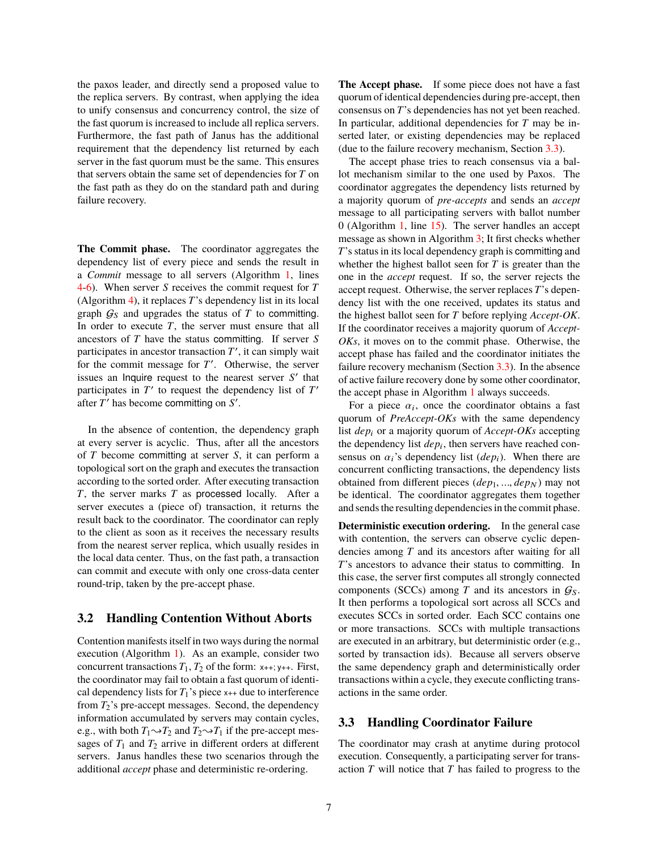the paxos leader, and directly send a proposed value to the replica servers. By contrast, when applying the idea to unify consensus and concurrency control, the size of the fast quorum is increased to include all replica servers. Furthermore, the fast path of Janus has the additional requirement that the dependency list returned by each server in the fast quorum must be the same. This ensures that servers obtain the same set of dependencies for *T* on the fast path as they do on the standard path and during failure recovery.

**The Commit phase.** The coordinator aggregates the dependency list of every piece and sends the result in a *Commit* message to all servers (Algorithm [1,](#page-4-0) lines [4](#page-4-1)[-6\)](#page-4-3). When server *S* receives the commit request for *T* (Algorithm [4\)](#page-5-1), it replaces *T*'s dependency list in its local graph  $G_S$  and upgrades the status of  $T$  to committing. In order to execute  $T$ , the server must ensure that all ancestors of *T* have the status committing. If server *S* participates in ancestor transaction  $T'$ , it can simply wait for the commit message for *T'*. Otherwise, the server issues an Inquire request to the nearest server  $S'$  that participates in  $T'$  to request the dependency list of  $T'$ after  $T'$  has become committing on  $S'$ .

In the absence of contention, the dependency graph at every server is acyclic. Thus, after all the ancestors of *T* become committing at server *S*, it can perform a topological sort on the graph and executes the transaction according to the sorted order. After executing transaction *T*, the server marks *T* as processed locally. After a server executes a (piece of) transaction, it returns the result back to the coordinator. The coordinator can reply to the client as soon as it receives the necessary results from the nearest server replica, which usually resides in the local data center. Thus, on the fast path, a transaction can commit and execute with only one cross-data center round-trip, taken by the pre-accept phase.

#### **3.2 Handling Contention Without Aborts**

Contention manifests itself in two ways during the normal execution (Algorithm [1\)](#page-4-0). As an example, consider two concurrent transactions  $T_1$ ,  $T_2$  of the form:  $x_{++}$ ;  $y_{++}$ . First, the coordinator may fail to obtain a fast quorum of identical dependency lists for  $T_1$ 's piece  $x_{++}$  due to interference from  $T_2$ 's pre-accept messages. Second, the dependency information accumulated by servers may contain cycles, e.g., with both  $T_1 \rightarrow T_2$  and  $T_2 \rightarrow T_1$  if the pre-accept messages of  $T_1$  and  $T_2$  arrive in different orders at different servers. Janus handles these two scenarios through the additional *accept* phase and deterministic re-ordering.

**The Accept phase.** If some piece does not have a fast quorum of identical dependencies during pre-accept, then consensus on *T*'s dependencies has not yet been reached. In particular, additional dependencies for *T* may be inserted later, or existing dependencies may be replaced (due to the failure recovery mechanism, Section [3.3\)](#page-6-0).

The accept phase tries to reach consensus via a ballot mechanism similar to the one used by Paxos. The coordinator aggregates the dependency lists returned by a majority quorum of *pre-accepts* and sends an *accept* message to all participating servers with ballot number 0 (Algorithm [1,](#page-4-0) line [15\)](#page-4-4). The server handles an accept message as shown in Algorithm [3;](#page-5-2) It first checks whether *T*'s status in its local dependency graph is committing and whether the highest ballot seen for *T* is greater than the one in the *accept* request. If so, the server rejects the accept request. Otherwise, the server replaces *T*'s dependency list with the one received, updates its status and the highest ballot seen for *T* before replying *Accept-OK*. If the coordinator receives a majority quorum of *Accept-OKs*, it moves on to the commit phase. Otherwise, the accept phase has failed and the coordinator initiates the failure recovery mechanism (Section [3.3\)](#page-6-0). In the absence of active failure recovery done by some other coordinator, the accept phase in Algorithm [1](#page-4-0) always succeeds.

For a piece  $\alpha_i$ , once the coordinator obtains a fast<br>orum of *PreAccent OKs* with the same dependency quorum of *PreAccept-OKs* with the same dependency list *dep<sub>i</sub>* or a majority quorum of *Accept-OKs* accepting the dependency list  $dep<sub>i</sub>$ , then servers have reached consensus on  $\alpha_i$ 's dependency list ( $dep_i$ ). When there are concurrent conflicting transactions, the dependency lists obtained from different pieces (*dep*<sub>1</sub>, ..., *dep*<sub>N</sub>) may not be identical. The coordinator aggregates them together and sends the resulting dependencies in the commit phase.

**Deterministic execution ordering.** In the general case with contention, the servers can observe cyclic dependencies among *T* and its ancestors after waiting for all *T*'s ancestors to advance their status to committing. In this case, the server first computes all strongly connected components (SCCs) among  $T$  and its ancestors in  $G_S$ . It then performs a topological sort across all SCCs and executes SCCs in sorted order. Each SCC contains one or more transactions. SCCs with multiple transactions are executed in an arbitrary, but deterministic order (e.g., sorted by transaction ids). Because all servers observe the same dependency graph and deterministically order transactions within a cycle, they execute conflicting transactions in the same order.

#### <span id="page-6-0"></span>**3.3 Handling Coordinator Failure**

The coordinator may crash at anytime during protocol execution. Consequently, a participating server for transaction *T* will notice that *T* has failed to progress to the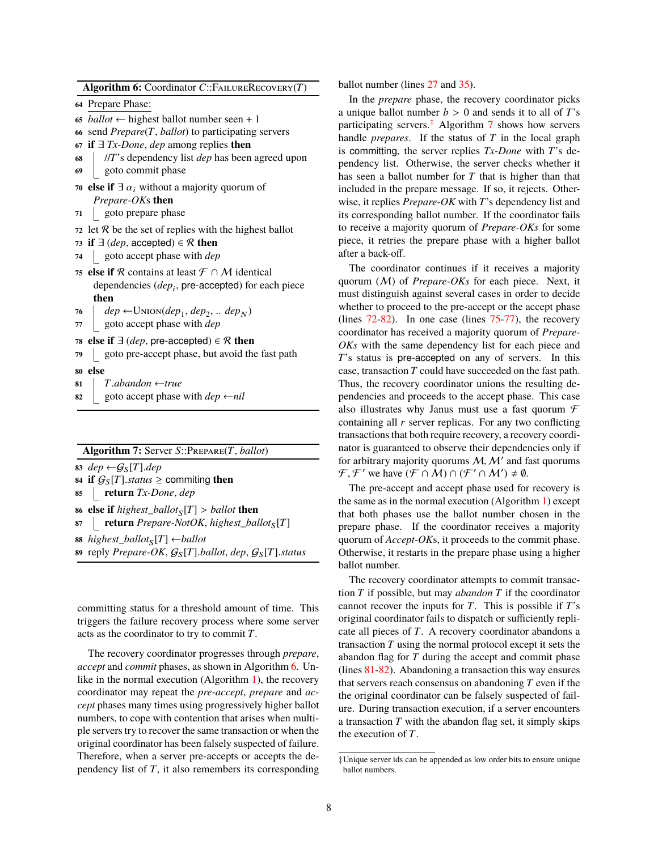**Algorithm 6:** Coordinator *C*::FailureRecovery(*T*)

- **<sup>64</sup>** Prepare Phase:
- 65 *ballot*  $\leftarrow$  highest ballot number seen + 1
- **<sup>66</sup>** send *Prepare*(*T*, *ballot*) to participating servers
- **<sup>67</sup> if** ∃ *Tx-Done*, *dep* among replies **then**
- **<sup>68</sup>** //*T*'s dependency list *dep* has been agreed upon

**<sup>69</sup>** goto commit phase

- **70 else if**  $\exists \alpha_i$  without a majority quorum of *Prepare-OK*s **then**
- **<sup>71</sup>** goto prepare phase
- <span id="page-7-2"></span>**72** let  $\mathcal R$  be the set of replies with the highest ballot
- *73* **if**  $\exists$  (*dep*, accepted) ∈  $\Re$  **then**
- **<sup>74</sup>** goto accept phase with *dep*
- <span id="page-7-4"></span>**75 else if** R contains at least  $\mathcal{F} \cap \mathcal{M}$  identical dependencies ( $dep<sub>i</sub>$ , pre-accepted) for each piece **then**
- <span id="page-7-5"></span>**76**  $\left| \text{ dep} \leftarrow \text{Union}(dep_1, dep_2, \ldots dep_N) \right|$
- **<sup>77</sup>** goto accept phase with *dep*
- 78 **else if**  $\exists$  (*dep*, pre-accepted) ∈  $\mathcal{R}$  **then**
- **<sup>79</sup>** goto pre-accept phase, but avoid the fast path
- **<sup>80</sup> else**
- <span id="page-7-6"></span>**<sup>81</sup>** *<sup>T</sup>*.*abandon* <sup>←</sup>*true*
- <span id="page-7-3"></span><span id="page-7-0"></span>**<sup>82</sup>** goto accept phase with *dep* ←*nil*

#### **Algorithm 7:** Server *S*::Prepare(*T*, *ballot*)

*dep*  $\leftarrow$   $G_S[T]$ *.dep*  **if**  $G_S[T]$  *status*  $\ge$  commiting **then**<br>**85 example 1 return** *Tx-Done, den*  **return** *Tx-Done*, *dep* **else if** *highest\_ballot*<sub>S</sub> $[T] >$  *ballot* **then**<br> **87 extra** Prepare-NotOK highest ball *return Prepare-NotOK, highest\_ballot***<sub>S</sub>**[T] *highest\_ballot*<sub>S</sub> $[T] \leftarrow$ *ballot* 89 reply *Prepare-OK*,  $G_S[T]$ *.ballot*, *dep*,  $G_S[T]$ *.status* 

<span id="page-7-1"></span>committing status for a threshold amount of time. This triggers the failure recovery process where some server acts as the coordinator to try to commit *T*.

The recovery coordinator progresses through *prepare*, *accept* and *commit* phases, as shown in Algorithm [6.](#page-7-0) Unlike in the normal execution (Algorithm [1\)](#page-4-0), the recovery coordinator may repeat the *pre-accept*, *prepare* and *accept* phases many times using progressively higher ballot numbers, to cope with contention that arises when multiple servers try to recover the same transaction or when the original coordinator has been falsely suspected of failure. Therefore, when a server pre-accepts or accepts the dependency list of *T*, it also remembers its corresponding ballot number (lines [27](#page-5-3) and [35\)](#page-5-4).

In the *prepare* phase, the recovery coordinator picks a unique ballot number *<sup>b</sup>* > <sup>0</sup> and sends it to all of *<sup>T</sup>*'s participating servers.<sup>[‡](#page-0-1)</sup> Algorithm [7](#page-7-1) shows how servers handle *prepares*. If the status of *T* in the local graph is committing, the server replies *Tx-Done* with *T*'s dependency list. Otherwise, the server checks whether it has seen a ballot number for *T* that is higher than that included in the prepare message. If so, it rejects. Otherwise, it replies *Prepare-OK* with *T*'s dependency list and its corresponding ballot number. If the coordinator fails to receive a majority quorum of *Prepare-OKs* for some piece, it retries the prepare phase with a higher ballot after a back-off.

The coordinator continues if it receives a majority quorum (M) of *Prepare-OKs* for each piece. Next, it must distinguish against several cases in order to decide whether to proceed to the pre-accept or the accept phase (lines [72](#page-7-2)[-82\)](#page-7-3). In one case (lines [75](#page-7-4)[-77\)](#page-7-5), the recovery coordinator has received a majority quorum of *Prepare-OKs* with the same dependency list for each piece and *T*'s status is pre-accepted on any of servers. In this case, transaction *T* could have succeeded on the fast path. Thus, the recovery coordinator unions the resulting dependencies and proceeds to the accept phase. This case also illustrates why Janus must use a fast quorum  $\mathcal F$ containing all *r* server replicas. For any two conflicting transactions that both require recovery, a recovery coordinator is guaranteed to observe their dependencies only if for arbitrary majority quorums M,  $M'$  and fast quorums<br>  $\mathcal{F}$   $\mathcal{F}'$  we have  $(\mathcal{F} \cap M) \cap (\mathcal{F}' \cap M') \neq \emptyset$  $\mathcal{F}, \mathcal{F}'$  we have  $(\mathcal{F} \cap \mathcal{M}) \cap (\mathcal{F}' \cap \mathcal{M}') \neq \emptyset$ .<br>The green accept and accept phase used for

The pre-accept and accept phase used for recovery is the same as in the normal execution (Algorithm [1\)](#page-4-0) except that both phases use the ballot number chosen in the prepare phase. If the coordinator receives a majority quorum of *Accept-OK*s, it proceeds to the commit phase. Otherwise, it restarts in the prepare phase using a higher ballot number.

The recovery coordinator attempts to commit transaction *T* if possible, but may *abandon T* if the coordinator cannot recover the inputs for *T*. This is possible if *T*'s original coordinator fails to dispatch or sufficiently replicate all pieces of *T*. A recovery coordinator abandons a transaction *T* using the normal protocol except it sets the abandon flag for *T* during the accept and commit phase (lines [81-](#page-7-6)[82\)](#page-7-3). Abandoning a transaction this way ensures that servers reach consensus on abandoning *T* even if the the original coordinator can be falsely suspected of failure. During transaction execution, if a server encounters a transaction *T* with the abandon flag set, it simply skips the execution of *T*.

<sup>‡</sup>Unique server ids can be appended as low order bits to ensure unique ballot numbers.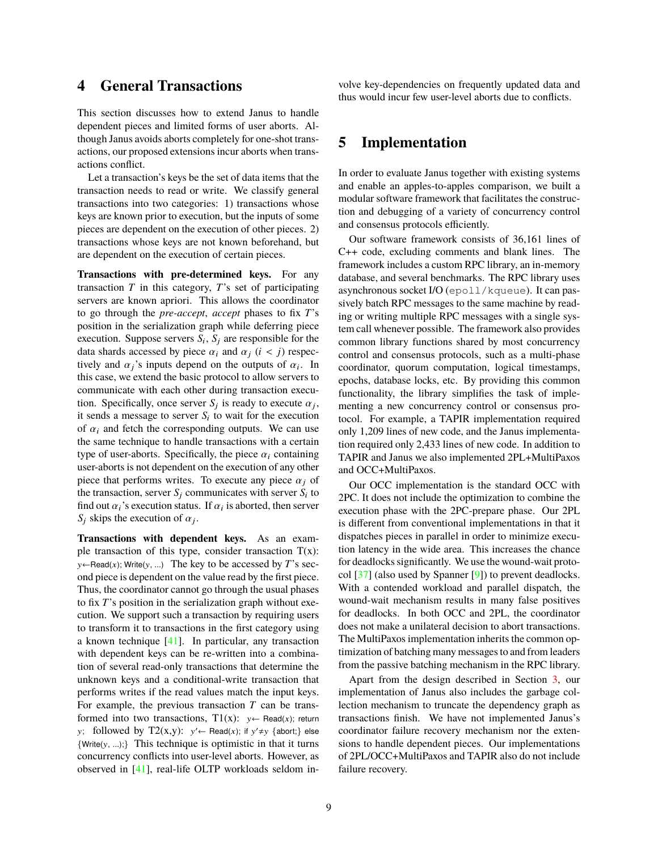## <span id="page-8-0"></span>**4 General Transactions**

This section discusses how to extend Janus to handle dependent pieces and limited forms of user aborts. Although Janus avoids aborts completely for one-shot transactions, our proposed extensions incur aborts when transactions conflict.

Let a transaction's keys be the set of data items that the transaction needs to read or write. We classify general transactions into two categories: 1) transactions whose keys are known prior to execution, but the inputs of some pieces are dependent on the execution of other pieces. 2) transactions whose keys are not known beforehand, but are dependent on the execution of certain pieces.

**Transactions with pre-determined keys.** For any transaction *T* in this category, *T*'s set of participating servers are known apriori. This allows the coordinator to go through the *pre-accept*, *accept* phases to fix *T*'s position in the serialization graph while deferring piece execution. Suppose servers  $S_i$ ,  $S_j$  are responsible for the data shards accessed by piece  $\alpha_i$  and  $\alpha_j$  ( $i < j$ ) respectively and  $\alpha_j$ 's inputs depend on the outputs of  $\alpha_i$ . In this case, we extend the basic protocol to allow servers to this case, we extend the basic protocol to allow servers to communicate with each other during transaction execution. Specifically, once server  $S_j$  is ready to execute  $\alpha_j$ , it sends a message to server *S<sub>i</sub>* to wait for the execution it sends a message to server  $S_i$  to wait for the execution of  $\alpha_i$  and fetch the corresponding outputs. We can use the same technique to handle transactions with a certain type of user-aborts. Specifically, the piece  $\alpha_i$  containing user-aborts is not dependent on the execution of any other piece that performs writes. To execute any piece  $\alpha_i$  of the transaction, server  $S_j$  communicates with server  $S_i$  to find out  $\alpha_i$ 's execution status. If  $\alpha_i$  is aborted, then server  $S_i$ , skins the execution of  $\alpha_i$ .  $S_j$  skips the execution of  $\alpha_j$ .

**Transactions with dependent keys.** As an example transaction of this type, consider transaction  $T(x)$ : y←Read(x); Write(y, ...) The key to be accessed by *T*'s second piece is dependent on the value read by the first piece. Thus, the coordinator cannot go through the usual phases to fix *T*'s position in the serialization graph without execution. We support such a transaction by requiring users to transform it to transactions in the first category using a known technique [\[41\]](#page-14-14). In particular, any transaction with dependent keys can be re-written into a combination of several read-only transactions that determine the unknown keys and a conditional-write transaction that performs writes if the read values match the input keys. For example, the previous transaction *T* can be transformed into two transactions,  $T1(x)$ :  $y \leftarrow \text{Read}(x)$ ; return y; followed by  $T2(x,y)$ :  $y' \leftarrow \text{Read}(x)$ ; if  $y' \neq y$  {abort;} else  $\{Write(y, ...) \}$  This technique is optimistic in that it turns concurrency conflicts into user-level aborts. However, as observed in [\[41\]](#page-14-14), real-life OLTP workloads seldom involve key-dependencies on frequently updated data and thus would incur few user-level aborts due to conflicts.

# **5 Implementation**

In order to evaluate Janus together with existing systems and enable an apples-to-apples comparison, we built a modular software framework that facilitates the construction and debugging of a variety of concurrency control and consensus protocols efficiently.

Our software framework consists of 36,161 lines of C++ code, excluding comments and blank lines. The framework includes a custom RPC library, an in-memory database, and several benchmarks. The RPC library uses asynchronous socket I/O (epoll/kqueue). It can passively batch RPC messages to the same machine by reading or writing multiple RPC messages with a single system call whenever possible. The framework also provides common library functions shared by most concurrency control and consensus protocols, such as a multi-phase coordinator, quorum computation, logical timestamps, epochs, database locks, etc. By providing this common functionality, the library simplifies the task of implementing a new concurrency control or consensus protocol. For example, a TAPIR implementation required only 1,209 lines of new code, and the Janus implementation required only 2,433 lines of new code. In addition to TAPIR and Janus we also implemented 2PL+MultiPaxos and OCC+MultiPaxos.

Our OCC implementation is the standard OCC with 2PC. It does not include the optimization to combine the execution phase with the 2PC-prepare phase. Our 2PL is different from conventional implementations in that it dispatches pieces in parallel in order to minimize execution latency in the wide area. This increases the chance for deadlocks significantly. We use the wound-wait protocol [\[37\]](#page-14-17) (also used by Spanner [\[9\]](#page-13-0)) to prevent deadlocks. With a contended workload and parallel dispatch, the wound-wait mechanism results in many false positives for deadlocks. In both OCC and 2PL, the coordinator does not make a unilateral decision to abort transactions. The MultiPaxos implementation inherits the common optimization of batching many messages to and from leaders from the passive batching mechanism in the RPC library.

Apart from the design described in Section [3,](#page-4-5) our implementation of Janus also includes the garbage collection mechanism to truncate the dependency graph as transactions finish. We have not implemented Janus's coordinator failure recovery mechanism nor the extensions to handle dependent pieces. Our implementations of 2PL/OCC+MultiPaxos and TAPIR also do not include failure recovery.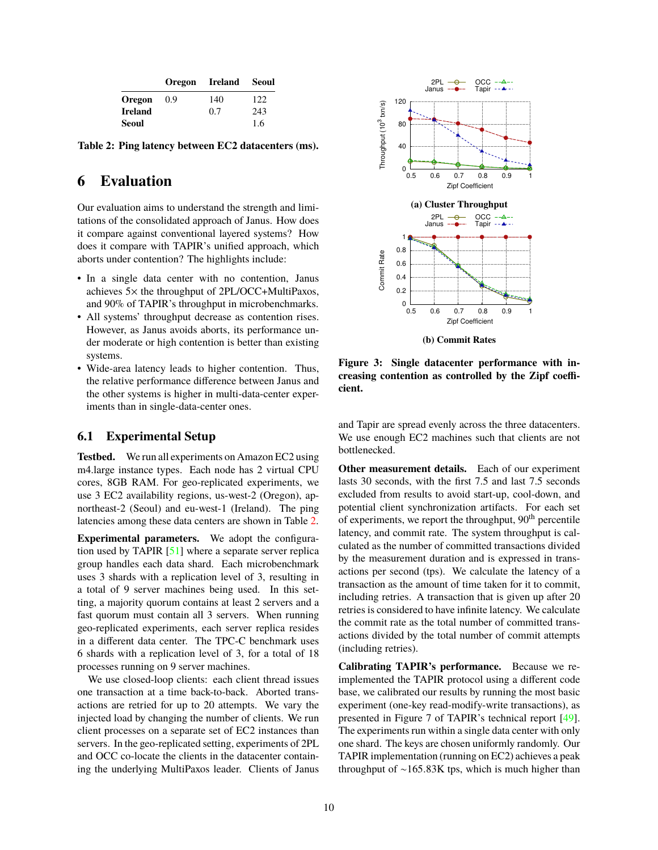<span id="page-9-0"></span>

|                | <b>Oregon</b> | Ireland | <b>Seoul</b> |
|----------------|---------------|---------|--------------|
| Oregon         | 0.9           | 140     | 122          |
| <b>Ireland</b> |               | 0.7     | 243          |
| <b>Seoul</b>   |               |         | 1.6          |

**Table 2: Ping latency between EC2 datacenters (ms).**

# **6 Evaluation**

Our evaluation aims to understand the strength and limitations of the consolidated approach of Janus. How does it compare against conventional layered systems? How does it compare with TAPIR's unified approach, which aborts under contention? The highlights include:

- In a single data center with no contention, Janus achieves 5× the throughput of 2PL/OCC+MultiPaxos, and 90% of TAPIR's throughput in microbenchmarks.
- All systems' throughput decrease as contention rises. However, as Janus avoids aborts, its performance under moderate or high contention is better than existing systems.
- Wide-area latency leads to higher contention. Thus, the relative performance difference between Janus and the other systems is higher in multi-data-center experiments than in single-data-center ones.

#### **6.1 Experimental Setup**

**Testbed.** We run all experiments on Amazon EC2 using m4.large instance types. Each node has 2 virtual CPU cores, 8GB RAM. For geo-replicated experiments, we use 3 EC2 availability regions, us-west-2 (Oregon), apnortheast-2 (Seoul) and eu-west-1 (Ireland). The ping latencies among these data centers are shown in Table [2.](#page-9-0)

**Experimental parameters.** We adopt the configuration used by TAPIR [\[51\]](#page-15-0) where a separate server replica group handles each data shard. Each microbenchmark uses 3 shards with a replication level of 3, resulting in a total of 9 server machines being used. In this setting, a majority quorum contains at least 2 servers and a fast quorum must contain all 3 servers. When running geo-replicated experiments, each server replica resides in a different data center. The TPC-C benchmark uses 6 shards with a replication level of 3, for a total of 18 processes running on 9 server machines.

We use closed-loop clients: each client thread issues one transaction at a time back-to-back. Aborted transactions are retried for up to 20 attempts. We vary the injected load by changing the number of clients. We run client processes on a separate set of EC2 instances than servers. In the geo-replicated setting, experiments of 2PL and OCC co-locate the clients in the datacenter containing the underlying MultiPaxos leader. Clients of Janus

<span id="page-9-1"></span>

**Figure 3: Single datacenter performance with increasing contention as controlled by the Zipf coefficient.**

and Tapir are spread evenly across the three datacenters. We use enough EC2 machines such that clients are not bottlenecked.

**Other measurement details.** Each of our experiment lasts 30 seconds, with the first 7.5 and last 7.5 seconds excluded from results to avoid start-up, cool-down, and potential client synchronization artifacts. For each set of experiments, we report the throughput,  $90<sup>th</sup>$  percentile latency, and commit rate. The system throughput is calculated as the number of committed transactions divided by the measurement duration and is expressed in transactions per second (tps). We calculate the latency of a transaction as the amount of time taken for it to commit, including retries. A transaction that is given up after 20 retries is considered to have infinite latency. We calculate the commit rate as the total number of committed transactions divided by the total number of commit attempts (including retries).

**Calibrating TAPIR's performance.** Because we reimplemented the TAPIR protocol using a different code base, we calibrated our results by running the most basic experiment (one-key read-modify-write transactions), as presented in Figure 7 of TAPIR's technical report [\[49\]](#page-15-3). The experiments run within a single data center with only one shard. The keys are chosen uniformly randomly. Our TAPIR implementation (running on EC2) achieves a peak throughput of  $~165.83K$  tps, which is much higher than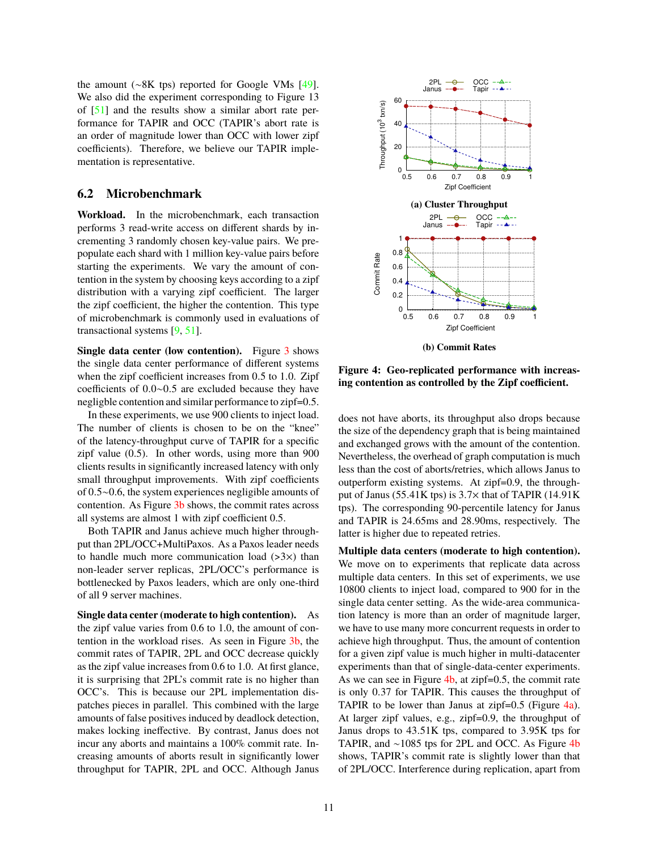the amount (∼8K tps) reported for Google VMs [\[49\]](#page-15-3). We also did the experiment corresponding to Figure 13 of [\[51\]](#page-15-0) and the results show a similar abort rate performance for TAPIR and OCC (TAPIR's abort rate is an order of magnitude lower than OCC with lower zipf coefficients). Therefore, we believe our TAPIR implementation is representative.

#### **6.2 Microbenchmark**

**Workload.** In the microbenchmark, each transaction performs 3 read-write access on different shards by incrementing 3 randomly chosen key-value pairs. We prepopulate each shard with 1 million key-value pairs before starting the experiments. We vary the amount of contention in the system by choosing keys according to a zipf distribution with a varying zipf coefficient. The larger the zipf coefficient, the higher the contention. This type of microbenchmark is commonly used in evaluations of transactional systems [\[9,](#page-13-0) [51\]](#page-15-0).

**Single data center (low contention).** Figure [3](#page-9-1) shows the single data center performance of different systems when the zipf coefficient increases from <sup>0</sup>.<sup>5</sup> to <sup>1</sup>.0. Zipf coefficients of <sup>0</sup>.0∼0.<sup>5</sup> are excluded because they have negligble contention and similar performance to zipf=0.5.

In these experiments, we use 900 clients to inject load. The number of clients is chosen to be on the "knee" of the latency-throughput curve of TAPIR for a specific zipf value (0.5). In other words, using more than 900 clients results in significantly increased latency with only small throughput improvements. With zipf coefficients of <sup>0</sup>.5∼0.6, the system experiences negligible amounts of contention. As Figure [3b](#page-9-1) shows, the commit rates across all systems are almost 1 with zipf coefficient 0.5.

Both TAPIR and Janus achieve much higher throughput than 2PL/OCC+MultiPaxos. As a Paxos leader needs to handle much more communication load  $(>3x)$  than non-leader server replicas, 2PL/OCC's performance is bottlenecked by Paxos leaders, which are only one-third of all 9 server machines.

**Single data center (moderate to high contention).** As the zipf value varies from 0.6 to 1.0, the amount of contention in the workload rises. As seen in Figure [3b,](#page-9-1) the commit rates of TAPIR, 2PL and OCC decrease quickly as the zipf value increases from 0.6 to 1.0. At first glance, it is surprising that 2PL's commit rate is no higher than OCC's. This is because our 2PL implementation dispatches pieces in parallel. This combined with the large amounts of false positives induced by deadlock detection, makes locking ineffective. By contrast, Janus does not incur any aborts and maintains a 100% commit rate. Increasing amounts of aborts result in significantly lower throughput for TAPIR, 2PL and OCC. Although Janus

<span id="page-10-0"></span>

**Figure 4: Geo-replicated performance with increasing contention as controlled by the Zipf coefficient.**

does not have aborts, its throughput also drops because the size of the dependency graph that is being maintained and exchanged grows with the amount of the contention. Nevertheless, the overhead of graph computation is much less than the cost of aborts/retries, which allows Janus to outperform existing systems. At zipf=0.9, the throughput of Janus (55.41K tps) is  $3.7\times$  that of TAPIR (14.91K) tps). The corresponding 90-percentile latency for Janus and TAPIR is <sup>24</sup>.65ms and <sup>28</sup>.90ms, respectively. The latter is higher due to repeated retries.

**Multiple data centers (moderate to high contention).** We move on to experiments that replicate data across multiple data centers. In this set of experiments, we use 10800 clients to inject load, compared to 900 for in the single data center setting. As the wide-area communication latency is more than an order of magnitude larger, we have to use many more concurrent requests in order to achieve high throughput. Thus, the amount of contention for a given zipf value is much higher in multi-datacenter experiments than that of single-data-center experiments. As we can see in Figure [4b,](#page-10-0) at zipf=0.5, the commit rate is only <sup>0</sup>.<sup>37</sup> for TAPIR. This causes the throughput of TAPIR to be lower than Janus at zipf= $0.5$  (Figure  $4a$ ). At larger zipf values, e.g., zipf=0.9, the throughput of Janus drops to <sup>43</sup>.51K tps, compared to <sup>3</sup>.95K tps for TAPIR, and ∼1085 tps for 2PL and OCC. As Figure [4b](#page-10-0) shows, TAPIR's commit rate is slightly lower than that of 2PL/OCC. Interference during replication, apart from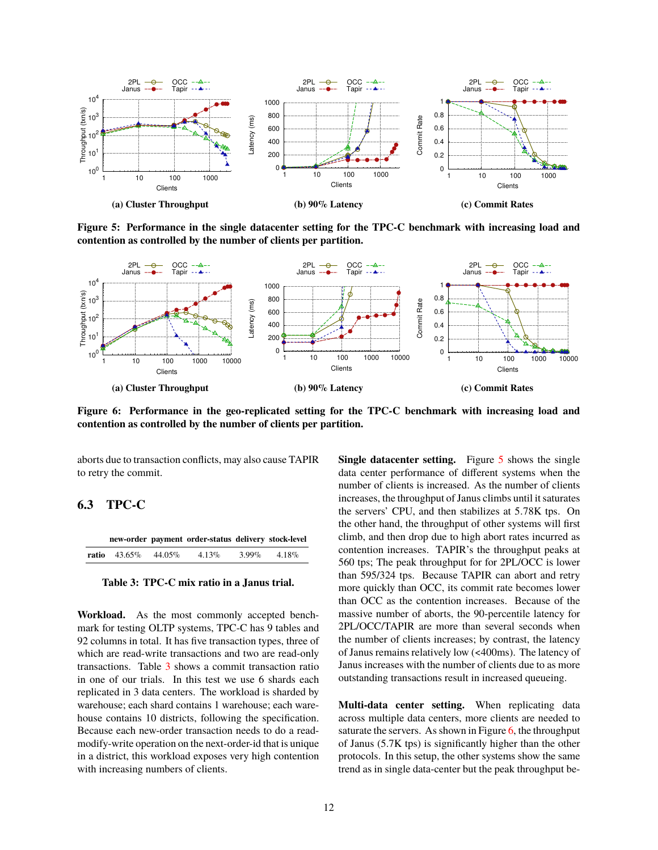<span id="page-11-1"></span>

**Figure 5: Performance in the single datacenter setting for the TPC-C benchmark with increasing load and contention as controlled by the number of clients per partition.**

<span id="page-11-2"></span>

**Figure 6: Performance in the geo-replicated setting for the TPC-C benchmark with increasing load and contention as controlled by the number of clients per partition.**

aborts due to transaction conflicts, may also cause TAPIR to retry the commit.

#### **6.3 TPC-C**

<span id="page-11-0"></span>

|                                  | new-order payment order-status delivery stock-level |          |          |
|----------------------------------|-----------------------------------------------------|----------|----------|
| <b>ratio</b> $43.65\%$ $44.05\%$ | $4.13\%$                                            | $3.99\%$ | $4.18\%$ |

**Table 3: TPC-C mix ratio in a Janus trial.**

**Workload.** As the most commonly accepted benchmark for testing OLTP systems, TPC-C has 9 tables and 92 columns in total. It has five transaction types, three of which are read-write transactions and two are read-only transactions. Table [3](#page-11-0) shows a commit transaction ratio in one of our trials. In this test we use 6 shards each replicated in 3 data centers. The workload is sharded by warehouse; each shard contains 1 warehouse; each warehouse contains 10 districts, following the specification. Because each new-order transaction needs to do a readmodify-write operation on the next-order-id that is unique in a district, this workload exposes very high contention with increasing numbers of clients.

**Single datacenter setting.** Figure [5](#page-11-1) shows the single data center performance of different systems when the number of clients is increased. As the number of clients increases, the throughput of Janus climbs until it saturates the servers' CPU, and then stabilizes at <sup>5</sup>.78K tps. On the other hand, the throughput of other systems will first climb, and then drop due to high abort rates incurred as contention increases. TAPIR's the throughput peaks at 560 tps; The peak throughput for for 2PL/OCC is lower than 595/324 tps. Because TAPIR can abort and retry more quickly than OCC, its commit rate becomes lower than OCC as the contention increases. Because of the massive number of aborts, the 90-percentile latency for 2PL/OCC/TAPIR are more than several seconds when the number of clients increases; by contrast, the latency of Janus remains relatively low (<400ms). The latency of Janus increases with the number of clients due to as more outstanding transactions result in increased queueing.

**Multi-data center setting.** When replicating data across multiple data centers, more clients are needed to saturate the servers. As shown in Figure  $6$ , the throughput of Janus (5.7K tps) is significantly higher than the other protocols. In this setup, the other systems show the same trend as in single data-center but the peak throughput be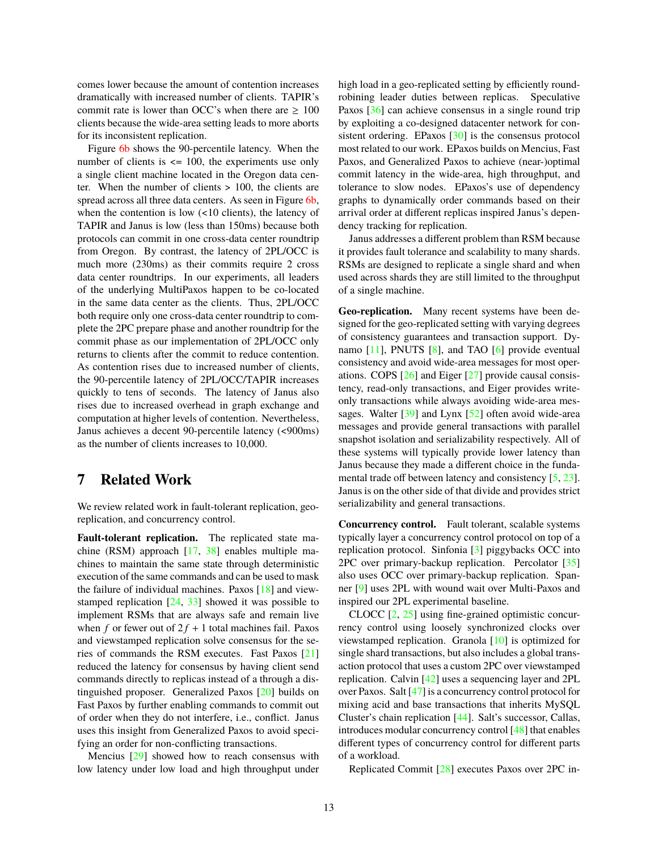comes lower because the amount of contention increases dramatically with increased number of clients. TAPIR's commit rate is lower than OCC's when there are  $\geq 100$ clients because the wide-area setting leads to more aborts for its inconsistent replication.

Figure [6b](#page-11-2) shows the 90-percentile latency. When the number of clients is  $\leq$  100, the experiments use only a single client machine located in the Oregon data center. When the number of clients > 100, the clients are spread across all three data centers. As seen in Figure [6b,](#page-11-2) when the contention is low (<10 clients), the latency of TAPIR and Janus is low (less than 150ms) because both protocols can commit in one cross-data center roundtrip from Oregon. By contrast, the latency of 2PL/OCC is much more (230ms) as their commits require 2 cross data center roundtrips. In our experiments, all leaders of the underlying MultiPaxos happen to be co-located in the same data center as the clients. Thus, 2PL/OCC both require only one cross-data center roundtrip to complete the 2PC prepare phase and another roundtrip for the commit phase as our implementation of 2PL/OCC only returns to clients after the commit to reduce contention. As contention rises due to increased number of clients, the 90-percentile latency of 2PL/OCC/TAPIR increases quickly to tens of seconds. The latency of Janus also rises due to increased overhead in graph exchange and computation at higher levels of contention. Nevertheless, Janus achieves a decent 90-percentile latency (<900ms) as the number of clients increases to 10,000.

# **7 Related Work**

We review related work in fault-tolerant replication, georeplication, and concurrency control.

Fault-tolerant replication. The replicated state machine (RSM) approach [\[17,](#page-14-18) [38\]](#page-14-19) enables multiple machines to maintain the same state through deterministic execution of the same commands and can be used to mask the failure of individual machines. Paxos [\[18\]](#page-14-20) and viewstamped replication  $[24, 33]$  $[24, 33]$  $[24, 33]$  showed it was possible to implement RSMs that are always safe and remain live when *f* or fewer out of  $2f + 1$  total machines fail. Paxos and viewstamped replication solve consensus for the series of commands the RSM executes. Fast Paxos [\[21\]](#page-14-16) reduced the latency for consensus by having client send commands directly to replicas instead of a through a distinguished proposer. Generalized Paxos [\[20\]](#page-14-10) builds on Fast Paxos by further enabling commands to commit out of order when they do not interfere, i.e., conflict. Janus uses this insight from Generalized Paxos to avoid specifying an order for non-conflicting transactions.

Mencius [\[29\]](#page-14-22) showed how to reach consensus with low latency under low load and high throughput under high load in a geo-replicated setting by efficiently roundrobining leader duties between replicas. Speculative Paxos [\[36\]](#page-14-23) can achieve consensus in a single round trip by exploiting a co-designed datacenter network for consistent ordering. EPaxos [\[30\]](#page-14-11) is the consensus protocol most related to our work. EPaxos builds on Mencius, Fast Paxos, and Generalized Paxos to achieve (near-)optimal commit latency in the wide-area, high throughput, and tolerance to slow nodes. EPaxos's use of dependency graphs to dynamically order commands based on their arrival order at different replicas inspired Janus's dependency tracking for replication.

Janus addresses a different problem than RSM because it provides fault tolerance and scalability to many shards. RSMs are designed to replicate a single shard and when used across shards they are still limited to the throughput of a single machine.

**Geo-replication.** Many recent systems have been designed for the geo-replicated setting with varying degrees of consistency guarantees and transaction support. Dynamo [\[11\]](#page-13-8), PNUTS [\[8\]](#page-13-9), and TAO [\[6\]](#page-13-10) provide eventual consistency and avoid wide-area messages for most operations. COPS [\[26\]](#page-14-12) and Eiger [\[27\]](#page-14-24) provide causal consistency, read-only transactions, and Eiger provides writeonly transactions while always avoiding wide-area mes-sages. Walter [\[39\]](#page-14-25) and Lynx [\[52\]](#page-15-4) often avoid wide-area messages and provide general transactions with parallel snapshot isolation and serializability respectively. All of these systems will typically provide lower latency than Janus because they made a different choice in the funda-mental trade off between latency and consistency [\[5,](#page-13-11) [23\]](#page-14-26). Janus is on the other side of that divide and provides strict serializability and general transactions.

**Concurrency control.** Fault tolerant, scalable systems typically layer a concurrency control protocol on top of a replication protocol. Sinfonia [\[3\]](#page-13-12) piggybacks OCC into 2PC over primary-backup replication. Percolator  $\lceil 35 \rceil$ also uses OCC over primary-backup replication. Spanner [\[9\]](#page-13-0) uses 2PL with wound wait over Multi-Paxos and inspired our 2PL experimental baseline.

CLOCC [\[2,](#page-13-13) [25\]](#page-14-27) using fine-grained optimistic concurrency control using loosely synchronized clocks over viewstamped replication. Granola [\[10\]](#page-13-14) is optimized for single shard transactions, but also includes a global transaction protocol that uses a custom 2PC over viewstamped replication. Calvin [\[42\]](#page-14-28) uses a sequencing layer and 2PL over Paxos. Salt [\[47\]](#page-15-5) is a concurrency control protocol for mixing acid and base transactions that inherits MySQL Cluster's chain replication [\[44\]](#page-14-29). Salt's successor, Callas, introduces modular concurrency control [\[48\]](#page-15-6) that enables different types of concurrency control for different parts of a workload.

Replicated Commit [\[28\]](#page-14-13) executes Paxos over 2PC in-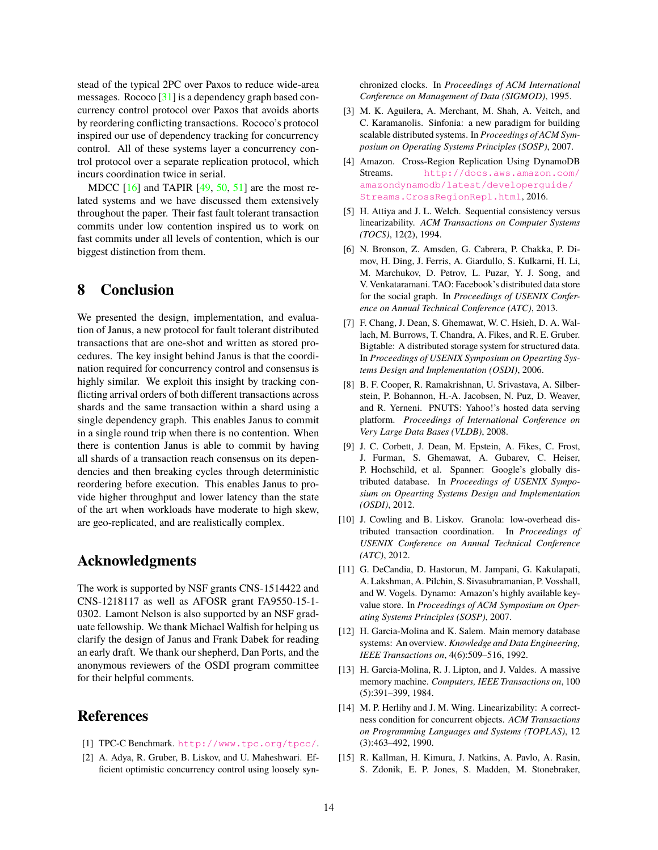stead of the typical 2PC over Paxos to reduce wide-area messages. Rococo [\[31\]](#page-14-7) is a dependency graph based concurrency control protocol over Paxos that avoids aborts by reordering conflicting transactions. Rococo's protocol inspired our use of dependency tracking for concurrency control. All of these systems layer a concurrency control protocol over a separate replication protocol, which incurs coordination twice in serial.

MDCC  $[16]$  and TAPIR  $[49, 50, 51]$  $[49, 50, 51]$  $[49, 50, 51]$  $[49, 50, 51]$  $[49, 50, 51]$  are the most related systems and we have discussed them extensively throughout the paper. Their fast fault tolerant transaction commits under low contention inspired us to work on fast commits under all levels of contention, which is our biggest distinction from them.

## **8 Conclusion**

We presented the design, implementation, and evaluation of Janus, a new protocol for fault tolerant distributed transactions that are one-shot and written as stored procedures. The key insight behind Janus is that the coordination required for concurrency control and consensus is highly similar. We exploit this insight by tracking conflicting arrival orders of both different transactions across shards and the same transaction within a shard using a single dependency graph. This enables Janus to commit in a single round trip when there is no contention. When there is contention Janus is able to commit by having all shards of a transaction reach consensus on its dependencies and then breaking cycles through deterministic reordering before execution. This enables Janus to provide higher throughput and lower latency than the state of the art when workloads have moderate to high skew, are geo-replicated, and are realistically complex.

#### **Acknowledgments**

The work is supported by NSF grants CNS-1514422 and CNS-1218117 as well as AFOSR grant FA9550-15-1- 0302. Lamont Nelson is also supported by an NSF graduate fellowship. We thank Michael Walfish for helping us clarify the design of Janus and Frank Dabek for reading an early draft. We thank our shepherd, Dan Ports, and the anonymous reviewers of the OSDI program committee for their helpful comments.

# **References**

- <span id="page-13-6"></span>[1] TPC-C Benchmark. <http://www.tpc.org/tpcc/>.
- <span id="page-13-13"></span>[2] A. Adya, R. Gruber, B. Liskov, and U. Maheshwari. Efficient optimistic concurrency control using loosely syn-

chronized clocks. In *Proceedings of ACM International Conference on Management of Data (SIGMOD)*, 1995.

- <span id="page-13-12"></span>[3] M. K. Aguilera, A. Merchant, M. Shah, A. Veitch, and C. Karamanolis. Sinfonia: a new paradigm for building scalable distributed systems. In *Proceedings of ACM Symposium on Operating Systems Principles (SOSP)*, 2007.
- <span id="page-13-7"></span>[4] Amazon. Cross-Region Replication Using DynamoDB Streams. [http://docs.aws.amazon.com/](http://docs.aws.amazon.com/amazondynamodb/latest/developerguide/Streams.CrossRegionRepl.html) [amazondynamodb/latest/developerguide/](http://docs.aws.amazon.com/amazondynamodb/latest/developerguide/Streams.CrossRegionRepl.html) [Streams.CrossRegionRepl.html](http://docs.aws.amazon.com/amazondynamodb/latest/developerguide/Streams.CrossRegionRepl.html), 2016.
- <span id="page-13-11"></span>[5] H. Attiya and J. L. Welch. Sequential consistency versus linearizability. *ACM Transactions on Computer Systems (TOCS)*, 12(2), 1994.
- <span id="page-13-10"></span>[6] N. Bronson, Z. Amsden, G. Cabrera, P. Chakka, P. Dimov, H. Ding, J. Ferris, A. Giardullo, S. Kulkarni, H. Li, M. Marchukov, D. Petrov, L. Puzar, Y. J. Song, and V. Venkataramani. TAO: Facebook's distributed data store for the social graph. In *Proceedings of USENIX Conference on Annual Technical Conference (ATC)*, 2013.
- <span id="page-13-1"></span>[7] F. Chang, J. Dean, S. Ghemawat, W. C. Hsieh, D. A. Wallach, M. Burrows, T. Chandra, A. Fikes, and R. E. Gruber. Bigtable: A distributed storage system for structured data. In *Proceedings of USENIX Symposium on Opearting Systems Design and Implementation (OSDI)*, 2006.
- <span id="page-13-9"></span>[8] B. F. Cooper, R. Ramakrishnan, U. Srivastava, A. Silberstein, P. Bohannon, H.-A. Jacobsen, N. Puz, D. Weaver, and R. Yerneni. PNUTS: Yahoo!'s hosted data serving platform. *Proceedings of International Conference on Very Large Data Bases (VLDB)*, 2008.
- <span id="page-13-0"></span>[9] J. C. Corbett, J. Dean, M. Epstein, A. Fikes, C. Frost, J. Furman, S. Ghemawat, A. Gubarev, C. Heiser, P. Hochschild, et al. Spanner: Google's globally distributed database. In *Proceedings of USENIX Symposium on Opearting Systems Design and Implementation (OSDI)*, 2012.
- <span id="page-13-14"></span>[10] J. Cowling and B. Liskov. Granola: low-overhead distributed transaction coordination. In *Proceedings of USENIX Conference on Annual Technical Conference (ATC)*, 2012.
- <span id="page-13-8"></span>[11] G. DeCandia, D. Hastorun, M. Jampani, G. Kakulapati, A. Lakshman, A. Pilchin, S. Sivasubramanian, P. Vosshall, and W. Vogels. Dynamo: Amazon's highly available keyvalue store. In *Proceedings of ACM Symposium on Operating Systems Principles (SOSP)*, 2007.
- <span id="page-13-3"></span>[12] H. Garcia-Molina and K. Salem. Main memory database systems: An overview. *Knowledge and Data Engineering, IEEE Transactions on*, 4(6):509–516, 1992.
- <span id="page-13-4"></span>[13] H. Garcia-Molina, R. J. Lipton, and J. Valdes. A massive memory machine. *Computers, IEEE Transactions on*, 100 (5):391–399, 1984.
- <span id="page-13-2"></span>[14] M. P. Herlihy and J. M. Wing. Linearizability: A correctness condition for concurrent objects. *ACM Transactions on Programming Languages and Systems (TOPLAS)*, 12 (3):463–492, 1990.
- <span id="page-13-5"></span>[15] R. Kallman, H. Kimura, J. Natkins, A. Pavlo, A. Rasin, S. Zdonik, E. P. Jones, S. Madden, M. Stonebraker,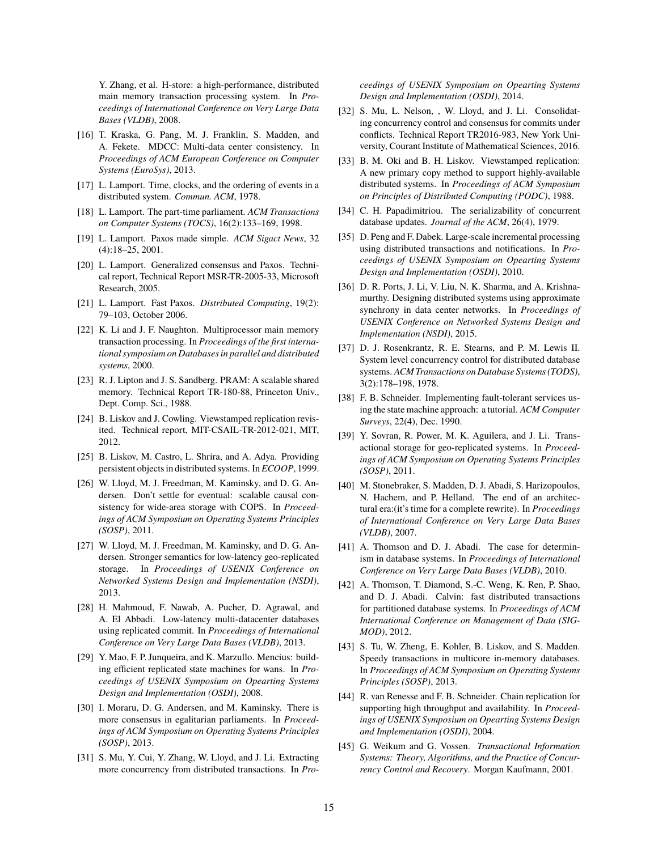Y. Zhang, et al. H-store: a high-performance, distributed main memory transaction processing system. In *Proceedings of International Conference on Very Large Data Bases (VLDB)*, 2008.

- <span id="page-14-0"></span>[16] T. Kraska, G. Pang, M. J. Franklin, S. Madden, and A. Fekete. MDCC: Multi-data center consistency. In *Proceedings of ACM European Conference on Computer Systems (EuroSys)*, 2013.
- <span id="page-14-18"></span>[17] L. Lamport. Time, clocks, and the ordering of events in a distributed system. *Commun. ACM*, 1978.
- <span id="page-14-20"></span>[18] L. Lamport. The part-time parliament. *ACM Transactions on Computer Systems (TOCS)*, 16(2):133–169, 1998.
- <span id="page-14-1"></span>[19] L. Lamport. Paxos made simple. *ACM Sigact News*, 32 (4):18–25, 2001.
- <span id="page-14-10"></span>[20] L. Lamport. Generalized consensus and Paxos. Technical report, Technical Report MSR-TR-2005-33, Microsoft Research, 2005.
- <span id="page-14-16"></span>[21] L. Lamport. Fast Paxos. *Distributed Computing*, 19(2): 79–103, October 2006.
- <span id="page-14-6"></span>[22] K. Li and J. F. Naughton. Multiprocessor main memory transaction processing. In *Proceedings of the first international symposium on Databases in parallel and distributed systems*, 2000.
- <span id="page-14-26"></span>[23] R. J. Lipton and J. S. Sandberg. PRAM: A scalable shared memory. Technical Report TR-180-88, Princeton Univ., Dept. Comp. Sci., 1988.
- <span id="page-14-21"></span>[24] B. Liskov and J. Cowling. Viewstamped replication revisited. Technical report, MIT-CSAIL-TR-2012-021, MIT, 2012.
- <span id="page-14-27"></span>[25] B. Liskov, M. Castro, L. Shrira, and A. Adya. Providing persistent objects in distributed systems. In *ECOOP*, 1999.
- <span id="page-14-12"></span>[26] W. Lloyd, M. J. Freedman, M. Kaminsky, and D. G. Andersen. Don't settle for eventual: scalable causal consistency for wide-area storage with COPS. In *Proceedings of ACM Symposium on Operating Systems Principles (SOSP)*, 2011.
- <span id="page-14-24"></span>[27] W. Lloyd, M. J. Freedman, M. Kaminsky, and D. G. Andersen. Stronger semantics for low-latency geo-replicated storage. In *Proceedings of USENIX Conference on Networked Systems Design and Implementation (NSDI)*, 2013.
- <span id="page-14-13"></span>[28] H. Mahmoud, F. Nawab, A. Pucher, D. Agrawal, and A. El Abbadi. Low-latency multi-datacenter databases using replicated commit. In *Proceedings of International Conference on Very Large Data Bases (VLDB)*, 2013.
- <span id="page-14-22"></span>[29] Y. Mao, F. P. Junqueira, and K. Marzullo. Mencius: building efficient replicated state machines for wans. In *Proceedings of USENIX Symposium on Opearting Systems Design and Implementation (OSDI)*, 2008.
- <span id="page-14-11"></span>[30] I. Moraru, D. G. Andersen, and M. Kaminsky. There is more consensus in egalitarian parliaments. In *Proceedings of ACM Symposium on Operating Systems Principles (SOSP)*, 2013.
- <span id="page-14-7"></span>[31] S. Mu, Y. Cui, Y. Zhang, W. Lloyd, and J. Li. Extracting more concurrency from distributed transactions. In *Pro-*

*ceedings of USENIX Symposium on Opearting Systems Design and Implementation (OSDI)*, 2014.

- <span id="page-14-15"></span>[32] S. Mu, L. Nelson, , W. Lloyd, and J. Li. Consolidating concurrency control and consensus for commits under conflicts. Technical Report TR2016-983, New York University, Courant Institute of Mathematical Sciences, 2016.
- <span id="page-14-2"></span>[33] B. M. Oki and B. H. Liskov. Viewstamped replication: A new primary copy method to support highly-available distributed systems. In *Proceedings of ACM Symposium on Principles of Distributed Computing (PODC)*, 1988.
- <span id="page-14-4"></span>[34] C. H. Papadimitriou. The serializability of concurrent database updates. *Journal of the ACM*, 26(4), 1979.
- <span id="page-14-3"></span>[35] D. Peng and F. Dabek. Large-scale incremental processing using distributed transactions and notifications. In *Proceedings of USENIX Symposium on Opearting Systems Design and Implementation (OSDI)*, 2010.
- <span id="page-14-23"></span>[36] D. R. Ports, J. Li, V. Liu, N. K. Sharma, and A. Krishnamurthy. Designing distributed systems using approximate synchrony in data center networks. In *Proceedings of USENIX Conference on Networked Systems Design and Implementation (NSDI)*, 2015.
- <span id="page-14-17"></span>[37] D. J. Rosenkrantz, R. E. Stearns, and P. M. Lewis II. System level concurrency control for distributed database systems. *ACM Transactions on Database Systems (TODS)*, 3(2):178–198, 1978.
- <span id="page-14-19"></span>[38] F. B. Schneider. Implementing fault-tolerant services using the state machine approach: a tutorial. *ACM Computer Surveys*, 22(4), Dec. 1990.
- <span id="page-14-25"></span>[39] Y. Sovran, R. Power, M. K. Aguilera, and J. Li. Transactional storage for geo-replicated systems. In *Proceedings of ACM Symposium on Operating Systems Principles (SOSP)*, 2011.
- <span id="page-14-8"></span>[40] M. Stonebraker, S. Madden, D. J. Abadi, S. Harizopoulos, N. Hachem, and P. Helland. The end of an architectural era:(it's time for a complete rewrite). In *Proceedings of International Conference on Very Large Data Bases (VLDB)*, 2007.
- <span id="page-14-14"></span>[41] A. Thomson and D. J. Abadi. The case for determinism in database systems. In *Proceedings of International Conference on Very Large Data Bases (VLDB)*, 2010.
- <span id="page-14-28"></span>[42] A. Thomson, T. Diamond, S.-C. Weng, K. Ren, P. Shao, and D. J. Abadi. Calvin: fast distributed transactions for partitioned database systems. In *Proceedings of ACM International Conference on Management of Data (SIG-MOD)*, 2012.
- <span id="page-14-9"></span>[43] S. Tu, W. Zheng, E. Kohler, B. Liskov, and S. Madden. Speedy transactions in multicore in-memory databases. In *Proceedings of ACM Symposium on Operating Systems Principles (SOSP)*, 2013.
- <span id="page-14-29"></span>[44] R. van Renesse and F. B. Schneider. Chain replication for supporting high throughput and availability. In *Proceedings of USENIX Symposium on Opearting Systems Design and Implementation (OSDI)*, 2004.
- <span id="page-14-5"></span>[45] G. Weikum and G. Vossen. *Transactional Information Systems: Theory, Algorithms, and the Practice of Concurrency Control and Recovery*. Morgan Kaufmann, 2001.